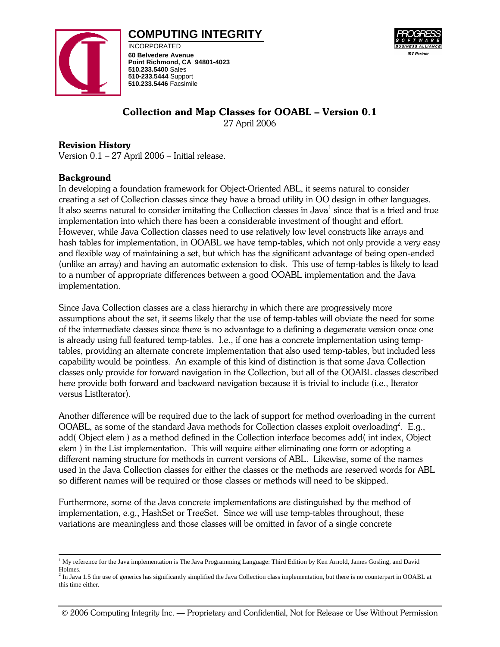# **COMPUTING INTEGRITY**



INCORPORATED **60 Belvedere Avenue Point Richmond, CA 94801-4023 510.233.5400** Sales **510-233.5444** Support **510.233.5446** Facsimile



## Collection and Map Classes for OOABL – Version 0.1

27 April 2006

## Revision History

Version 0.1 – 27 April 2006 – Initial release.

## Background

In developing a foundation framework for Object-Oriented ABL, it seems natural to consider creating a set of Collection classes since they have a broad utility in OO design in other languages. It also seems natural to consider imitating the Collection classes in Java<sup>1</sup> since that is a tried and true implementation into which there has been a considerable investment of thought and effort. However, while Java Collection classes need to use relatively low level constructs like arrays and hash tables for implementation, in OOABL we have temp-tables, which not only provide a very easy and flexible way of maintaining a set, but which has the significant advantage of being open-ended (unlike an array) and having an automatic extension to disk. This use of temp-tables is likely to lead to a number of appropriate differences between a good OOABL implementation and the Java implementation.

Since Java Collection classes are a class hierarchy in which there are progressively more assumptions about the set, it seems likely that the use of temp-tables will obviate the need for some of the intermediate classes since there is no advantage to a defining a degenerate version once one is already using full featured temp-tables. I.e., if one has a concrete implementation using temptables, providing an alternate concrete implementation that also used temp-tables, but included less capability would be pointless. An example of this kind of distinction is that some Java Collection classes only provide for forward navigation in the Collection, but all of the OOABL classes described here provide both forward and backward navigation because it is trivial to include (i.e., Iterator versus ListIterator).

Another difference will be required due to the lack of support for method overloading in the current OOABL, as some of the standard Java methods for Collection classes exploit overloading<sup>2</sup>. E.g., add( Object elem ) as a method defined in the Collection interface becomes add( int index, Object elem ) in the List implementation. This will require either eliminating one form or adopting a different naming structure for methods in current versions of ABL. Likewise, some of the names used in the Java Collection classes for either the classes or the methods are reserved words for ABL so different names will be required or those classes or methods will need to be skipped.

Furthermore, some of the Java concrete implementations are distinguished by the method of implementation, e.g., HashSet or TreeSet. Since we will use temp-tables throughout, these variations are meaningless and those classes will be omitted in favor of a single concrete

 $\frac{1}{1}$ <sup>1</sup> My reference for the Java implementation is The Java Programming Language: Third Edition by Ken Arnold, James Gosling, and David Holmes.

<sup>&</sup>lt;sup>2</sup> In Java 1.5 the use of generics has significantly simplified the Java Collection class implementation, but there is no counterpart in OOABL at this time either.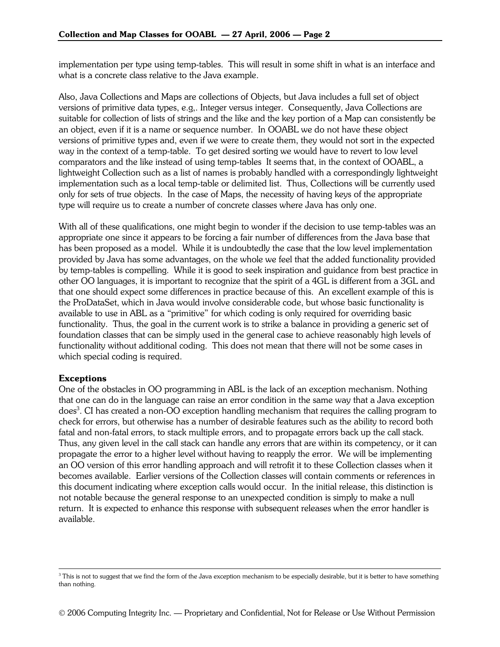implementation per type using temp-tables. This will result in some shift in what is an interface and what is a concrete class relative to the Java example.

Also, Java Collections and Maps are collections of Objects, but Java includes a full set of object versions of primitive data types, e.g,. Integer versus integer. Consequently, Java Collections are suitable for collection of lists of strings and the like and the key portion of a Map can consistently be an object, even if it is a name or sequence number. In OOABL we do not have these object versions of primitive types and, even if we were to create them, they would not sort in the expected way in the context of a temp-table. To get desired sorting we would have to revert to low level comparators and the like instead of using temp-tables It seems that, in the context of OOABL, a lightweight Collection such as a list of names is probably handled with a correspondingly lightweight implementation such as a local temp-table or delimited list. Thus, Collections will be currently used only for sets of true objects. In the case of Maps, the necessity of having keys of the appropriate type will require us to create a number of concrete classes where Java has only one.

With all of these qualifications, one might begin to wonder if the decision to use temp-tables was an appropriate one since it appears to be forcing a fair number of differences from the Java base that has been proposed as a model. While it is undoubtedly the case that the low level implementation provided by Java has some advantages, on the whole we feel that the added functionality provided by temp-tables is compelling. While it is good to seek inspiration and guidance from best practice in other OO languages, it is important to recognize that the spirit of a 4GL is different from a 3GL and that one should expect some differences in practice because of this. An excellent example of this is the ProDataSet, which in Java would involve considerable code, but whose basic functionality is available to use in ABL as a "primitive" for which coding is only required for overriding basic functionality. Thus, the goal in the current work is to strike a balance in providing a generic set of foundation classes that can be simply used in the general case to achieve reasonably high levels of functionality without additional coding. This does not mean that there will not be some cases in which special coding is required.

## **Exceptions**

One of the obstacles in OO programming in ABL is the lack of an exception mechanism. Nothing that one can do in the language can raise an error condition in the same way that a Java exception does $^3$ . CI has created a non-OO exception handling mechanism that requires the calling program to check for errors, but otherwise has a number of desirable features such as the ability to record both fatal and non-fatal errors, to stack multiple errors, and to propagate errors back up the call stack. Thus, any given level in the call stack can handle any errors that are within its competency, or it can propagate the error to a higher level without having to reapply the error. We will be implementing an OO version of this error handling approach and will retrofit it to these Collection classes when it becomes available. Earlier versions of the Collection classes will contain comments or references in this document indicating where exception calls would occur. In the initial release, this distinction is not notable because the general response to an unexpected condition is simply to make a null return. It is expected to enhance this response with subsequent releases when the error handler is available.

 $3$  This is not to suggest that we find the form of the Java exception mechanism to be especially desirable, but it is better to have something than nothing.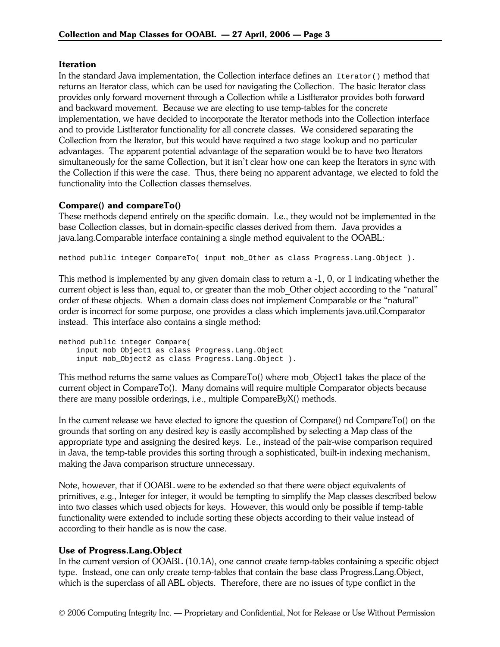#### **Iteration**

In the standard Java implementation, the Collection interface defines an  $Iterator()$  method that returns an Iterator class, which can be used for navigating the Collection. The basic Iterator class provides only forward movement through a Collection while a ListIterator provides both forward and backward movement. Because we are electing to use temp-tables for the concrete implementation, we have decided to incorporate the Iterator methods into the Collection interface and to provide ListIterator functionality for all concrete classes. We considered separating the Collection from the Iterator, but this would have required a two stage lookup and no particular advantages. The apparent potential advantage of the separation would be to have two Iterators simultaneously for the same Collection, but it isn't clear how one can keep the Iterators in sync with the Collection if this were the case. Thus, there being no apparent advantage, we elected to fold the functionality into the Collection classes themselves.

## Compare() and compareTo()

These methods depend entirely on the specific domain. I.e., they would not be implemented in the base Collection classes, but in domain-specific classes derived from them. Java provides a java.lang.Comparable interface containing a single method equivalent to the OOABL:

method public integer CompareTo( input mob\_Other as class Progress.Lang.Object ).

This method is implemented by any given domain class to return a -1, 0, or 1 indicating whether the current object is less than, equal to, or greater than the mob\_Other object according to the "natural" order of these objects. When a domain class does not implement Comparable or the "natural" order is incorrect for some purpose, one provides a class which implements java.util.Comparator instead. This interface also contains a single method:

method public integer Compare( input mob\_Object1 as class Progress.Lang.Object input mob\_Object2 as class Progress.Lang.Object ).

This method returns the same values as CompareTo() where mob\_Object1 takes the place of the current object in CompareTo(). Many domains will require multiple Comparator objects because there are many possible orderings, i.e., multiple CompareByX() methods.

In the current release we have elected to ignore the question of Compare() nd CompareTo() on the grounds that sorting on any desired key is easily accomplished by selecting a Map class of the appropriate type and assigning the desired keys. I.e., instead of the pair-wise comparison required in Java, the temp-table provides this sorting through a sophisticated, built-in indexing mechanism, making the Java comparison structure unnecessary.

Note, however, that if OOABL were to be extended so that there were object equivalents of primitives, e.g., Integer for integer, it would be tempting to simplify the Map classes described below into two classes which used objects for keys. However, this would only be possible if temp-table functionality were extended to include sorting these objects according to their value instead of according to their handle as is now the case.

## Use of Progress.Lang.Object

In the current version of OOABL (10.1A), one cannot create temp-tables containing a specific object type. Instead, one can only create temp-tables that contain the base class Progress.Lang.Object, which is the superclass of all ABL objects. Therefore, there are no issues of type conflict in the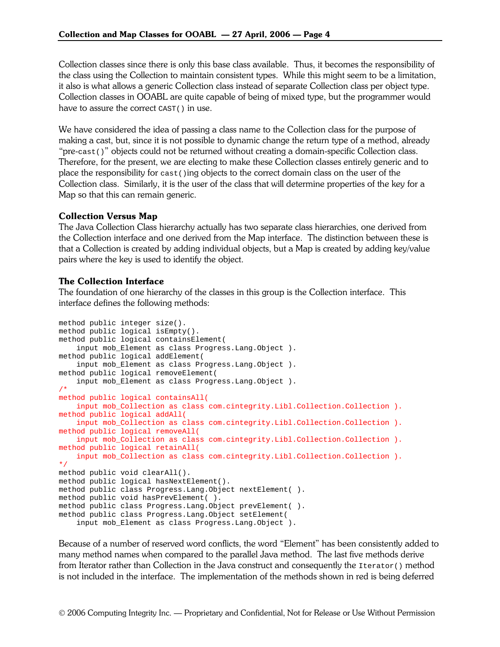Collection classes since there is only this base class available. Thus, it becomes the responsibility of the class using the Collection to maintain consistent types. While this might seem to be a limitation, it also is what allows a generic Collection class instead of separate Collection class per object type. Collection classes in OOABL are quite capable of being of mixed type, but the programmer would have to assure the correct CAST() in use.

We have considered the idea of passing a class name to the Collection class for the purpose of making a cast, but, since it is not possible to dynamic change the return type of a method, already "pre-cast()" objects could not be returned without creating a domain-specific Collection class. Therefore, for the present, we are electing to make these Collection classes entirely generic and to place the responsibility for  $\text{cast}(i)$  ing objects to the correct domain class on the user of the Collection class. Similarly, it is the user of the class that will determine properties of the key for a Map so that this can remain generic.

## Collection Versus Map

The Java Collection Class hierarchy actually has two separate class hierarchies, one derived from the Collection interface and one derived from the Map interface. The distinction between these is that a Collection is created by adding individual objects, but a Map is created by adding key/value pairs where the key is used to identify the object.

#### The Collection Interface

The foundation of one hierarchy of the classes in this group is the Collection interface. This interface defines the following methods:

```
method public integer size(). 
method public logical isEmpty(). 
method public logical containsElement( 
     input mob_Element as class Progress.Lang.Object ). 
method public logical addElement( 
     input mob_Element as class Progress.Lang.Object ). 
method public logical removeElement( 
     input mob_Element as class Progress.Lang.Object ). 
/* 
method public logical containsAll( 
     input mob_Collection as class com.cintegrity.Libl.Collection.Collection ). 
method public logical addAll( 
     input mob_Collection as class com.cintegrity.Libl.Collection.Collection ). 
method public logical removeAll( 
     input mob_Collection as class com.cintegrity.Libl.Collection.Collection ). 
method public logical retainAll( 
    input mob_Collection as class com.cintegrity.Libl.Collection.Collection ). 
*/ 
method public void clearAll(). 
method public logical hasNextElement(). 
method public class Progress.Lang.Object nextElement( ). 
method public void hasPrevElement( ). 
method public class Progress.Lang.Object prevElement( ). 
method public class Progress.Lang.Object setElement( 
     input mob_Element as class Progress.Lang.Object ).
```
Because of a number of reserved word conflicts, the word "Element" has been consistently added to many method names when compared to the parallel Java method. The last five methods derive from Iterator rather than Collection in the Java construct and consequently the Iterator() method is not included in the interface. The implementation of the methods shown in red is being deferred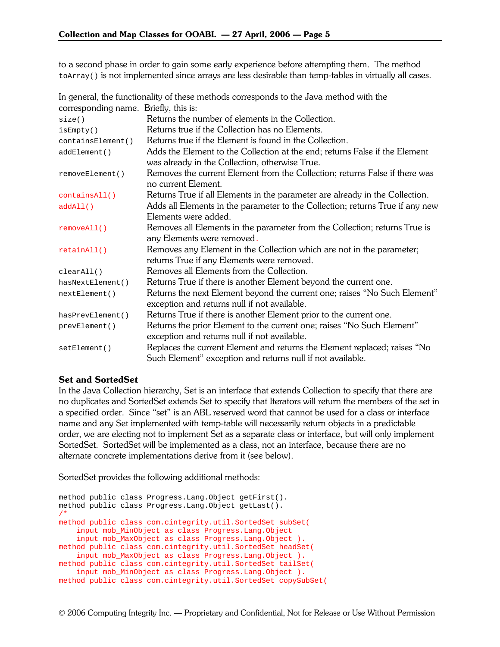to a second phase in order to gain some early experience before attempting them. The method  $\text{toArray}$ () is not implemented since arrays are less desirable than temp-tables in virtually all cases.

In general, the functionality of these methods corresponds to the Java method with the corresponding name. Briefly, this is:

| size()                                                                                     | Returns the number of elements in the Collection.                             |  |  |
|--------------------------------------------------------------------------------------------|-------------------------------------------------------------------------------|--|--|
| isEmpty()                                                                                  | Returns true if the Collection has no Elements.                               |  |  |
| containsElement()                                                                          | Returns true if the Element is found in the Collection.                       |  |  |
| addElement()                                                                               | Adds the Element to the Collection at the end; returns False if the Element   |  |  |
|                                                                                            | was already in the Collection, otherwise True.                                |  |  |
| removeElement()                                                                            | Removes the current Element from the Collection; returns False if there was   |  |  |
|                                                                                            | no current Element.                                                           |  |  |
| containsAll()                                                                              | Returns True if all Elements in the parameter are already in the Collection.  |  |  |
| addAll()                                                                                   | Adds all Elements in the parameter to the Collection; returns True if any new |  |  |
|                                                                                            | Elements were added.                                                          |  |  |
| removeAll()                                                                                | Removes all Elements in the parameter from the Collection; returns True is    |  |  |
|                                                                                            | any Elements were removed.                                                    |  |  |
| retainAll()                                                                                | Removes any Element in the Collection which are not in the parameter;         |  |  |
|                                                                                            | returns True if any Elements were removed.                                    |  |  |
| clearAll()                                                                                 | Removes all Elements from the Collection.                                     |  |  |
| hasNextElement()                                                                           | Returns True if there is another Element beyond the current one.              |  |  |
| Returns the next Element beyond the current one; raises "No Such Element"<br>nextElement() |                                                                               |  |  |
|                                                                                            | exception and returns null if not available.                                  |  |  |
| hasPrevElement()                                                                           | Returns True if there is another Element prior to the current one.            |  |  |
| prevElement()                                                                              | Returns the prior Element to the current one; raises "No Such Element"        |  |  |
|                                                                                            | exception and returns null if not available.                                  |  |  |
| setElement()                                                                               | Replaces the current Element and returns the Element replaced; raises "No     |  |  |
|                                                                                            | Such Element" exception and returns null if not available.                    |  |  |

#### Set and SortedSet

In the Java Collection hierarchy, Set is an interface that extends Collection to specify that there are no duplicates and SortedSet extends Set to specify that Iterators will return the members of the set in a specified order. Since "set" is an ABL reserved word that cannot be used for a class or interface name and any Set implemented with temp-table will necessarily return objects in a predictable order, we are electing not to implement Set as a separate class or interface, but will only implement SortedSet. SortedSet will be implemented as a class, not an interface, because there are no alternate concrete implementations derive from it (see below).

SortedSet provides the following additional methods:

```
method public class Progress.Lang.Object getFirst(). 
method public class Progress.Lang.Object getLast(). 
/* 
method public class com.cintegrity.util.SortedSet subSet( 
     input mob_MinObject as class Progress.Lang.Object 
     input mob_MaxObject as class Progress.Lang.Object ). 
method public class com.cintegrity.util.SortedSet headSet( 
     input mob_MaxObject as class Progress.Lang.Object ). 
method public class com.cintegrity.util.SortedSet tailSet( 
     input mob_MinObject as class Progress.Lang.Object ). 
method public class com.cintegrity.util.SortedSet copySubSet(
```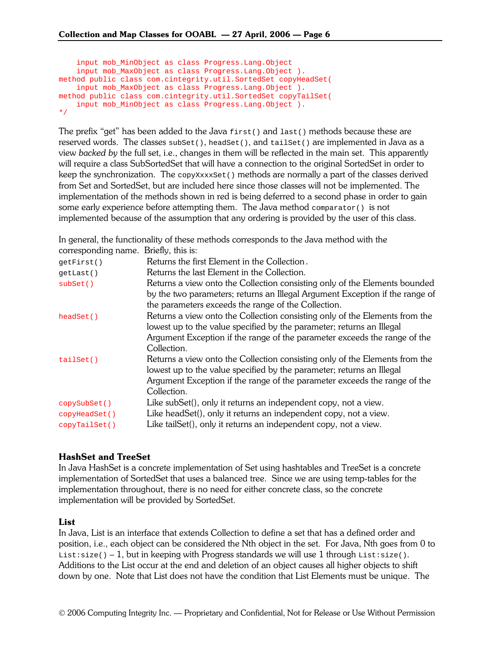```
 input mob_MinObject as class Progress.Lang.Object 
     input mob_MaxObject as class Progress.Lang.Object ). 
method public class com.cintegrity.util.SortedSet copyHeadSet( 
     input mob_MaxObject as class Progress.Lang.Object ). 
method public class com.cintegrity.util.SortedSet copyTailSet( 
     input mob_MinObject as class Progress.Lang.Object ). 
*/
```
The prefix "get" has been added to the Java  $f(x)$  and  $f(x)$  methods because these are reserved words. The classes  $\text{subSet}()$ , headSet $()$ , and  $\text{tailSet()}$  are implemented in Java as a view *backed by* the full set, i.e., changes in them will be reflected in the main set. This apparently will require a class SubSortedSet that will have a connection to the original SortedSet in order to keep the synchronization. The  $_{\rm copyXXXSet}$  () methods are normally a part of the classes derived from Set and SortedSet, but are included here since those classes will not be implemented. The implementation of the methods shown in red is being deferred to a second phase in order to gain some early experience before attempting them. The Java method  $_{\rm compactator}$  () is not implemented because of the assumption that any ordering is provided by the user of this class.

In general, the functionality of these methods corresponds to the Java method with the corresponding name. Briefly, this is:

| Returns the first Element in the Collection.                                 |  |  |
|------------------------------------------------------------------------------|--|--|
| Returns the last Element in the Collection.                                  |  |  |
| Returns a view onto the Collection consisting only of the Elements bounded   |  |  |
| by the two parameters; returns an Illegal Argument Exception if the range of |  |  |
| the parameters exceeds the range of the Collection.                          |  |  |
| Returns a view onto the Collection consisting only of the Elements from the  |  |  |
| lowest up to the value specified by the parameter; returns an Illegal        |  |  |
| Argument Exception if the range of the parameter exceeds the range of the    |  |  |
| Collection.                                                                  |  |  |
| Returns a view onto the Collection consisting only of the Elements from the  |  |  |
| lowest up to the value specified by the parameter; returns an Illegal        |  |  |
| Argument Exception if the range of the parameter exceeds the range of the    |  |  |
| Collection.                                                                  |  |  |
| Like subSet(), only it returns an independent copy, not a view.              |  |  |
| Like headSet(), only it returns an independent copy, not a view.             |  |  |
| Like tailSet(), only it returns an independent copy, not a view.             |  |  |
|                                                                              |  |  |

## HashSet and TreeSet

In Java HashSet is a concrete implementation of Set using hashtables and TreeSet is a concrete implementation of SortedSet that uses a balanced tree. Since we are using temp-tables for the implementation throughout, there is no need for either concrete class, so the concrete implementation will be provided by SortedSet.

## List

In Java, List is an interface that extends Collection to define a set that has a defined order and position, i.e., each object can be considered the Nth object in the set. For Java, Nth goes from 0 to List: $size() - 1$ , but in keeping with Progress standards we will use 1 through List: $size()$ . Additions to the List occur at the end and deletion of an object causes all higher objects to shift down by one. Note that List does not have the condition that List Elements must be unique. The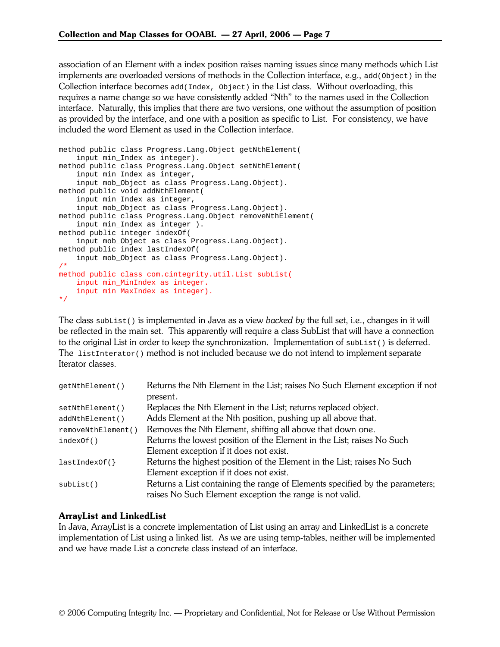association of an Element with a index position raises naming issues since many methods which List implements are overloaded versions of methods in the Collection interface, e.g., add( $Object$ ) in the Collection interface becomes  $add(Index, Object)$  in the List class. Without overloading, this requires a name change so we have consistently added "Nth" to the names used in the Collection interface. Naturally, this implies that there are two versions, one without the assumption of position as provided by the interface, and one with a position as specific to List. For consistency, we have included the word Element as used in the Collection interface.

```
method public class Progress.Lang.Object getNthElement( 
    input min Index as integer).
method public class Progress.Lang.Object setNthElement( 
     input min_Index as integer, 
     input mob_Object as class Progress.Lang.Object). 
method public void addNthElement( 
     input min_Index as integer, 
     input mob_Object as class Progress.Lang.Object). 
method public class Progress.Lang.Object removeNthElement( 
     input min_Index as integer ). 
method public integer indexOf( 
     input mob_Object as class Progress.Lang.Object). 
method public index lastIndexOf( 
     input mob_Object as class Progress.Lang.Object). 
/* 
method public class com.cintegrity.util.List subList( 
   input min MinIndex as integer.
     input min_MaxIndex as integer). 
*/
```
The class subList() is implemented in Java as a view *backed by* the full set, i.e., changes in it will be reflected in the main set. This apparently will require a class SubList that will have a connection to the original List in order to keep the synchronization. Implementation of  $\text{subList}(\cdot)$  is deferred. The  $listInterator()$  method is not included because we do not intend to implement separate Iterator classes.

| qetNthElement()    | Returns the Nth Element in the List; raises No Such Element exception if not |  |  |
|--------------------|------------------------------------------------------------------------------|--|--|
|                    | present.                                                                     |  |  |
| setNthElement()    | Replaces the Nth Element in the List; returns replaced object.               |  |  |
| addNthElement()    | Adds Element at the Nth position, pushing up all above that.                 |  |  |
| removeNthElement() | Removes the Nth Element, shifting all above that down one.                   |  |  |
| indexOf()          | Returns the lowest position of the Element in the List; raises No Such       |  |  |
|                    | Element exception if it does not exist.                                      |  |  |
| lastIndexOf()      | Returns the highest position of the Element in the List; raises No Such      |  |  |
|                    | Element exception if it does not exist.                                      |  |  |
| subList()          | Returns a List containing the range of Elements specified by the parameters; |  |  |
|                    | raises No Such Element exception the range is not valid.                     |  |  |

## ArrayList and LinkedList

In Java, ArrayList is a concrete implementation of List using an array and LinkedList is a concrete implementation of List using a linked list. As we are using temp-tables, neither will be implemented and we have made List a concrete class instead of an interface.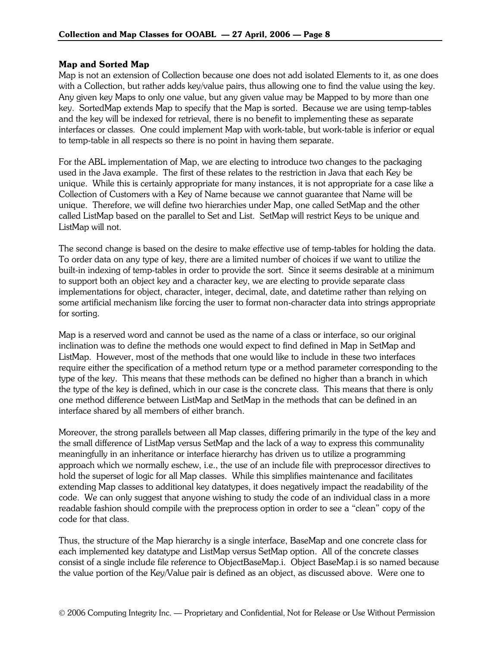#### Map and Sorted Map

Map is not an extension of Collection because one does not add isolated Elements to it, as one does with a Collection, but rather adds key/value pairs, thus allowing one to find the value using the key. Any given key Maps to only one value, but any given value may be Mapped to by more than one key. SortedMap extends Map to specify that the Map is sorted. Because we are using temp-tables and the key will be indexed for retrieval, there is no benefit to implementing these as separate interfaces or classes. One could implement Map with work-table, but work-table is inferior or equal to temp-table in all respects so there is no point in having them separate.

For the ABL implementation of Map, we are electing to introduce two changes to the packaging used in the Java example. The first of these relates to the restriction in Java that each Key be unique. While this is certainly appropriate for many instances, it is not appropriate for a case like a Collection of Customers with a Key of Name because we cannot guarantee that Name will be unique. Therefore, we will define two hierarchies under Map, one called SetMap and the other called ListMap based on the parallel to Set and List. SetMap will restrict Keys to be unique and ListMap will not.

The second change is based on the desire to make effective use of temp-tables for holding the data. To order data on any type of key, there are a limited number of choices if we want to utilize the built-in indexing of temp-tables in order to provide the sort. Since it seems desirable at a minimum to support both an object key and a character key, we are electing to provide separate class implementations for object, character, integer, decimal, date, and datetime rather than relying on some artificial mechanism like forcing the user to format non-character data into strings appropriate for sorting.

Map is a reserved word and cannot be used as the name of a class or interface, so our original inclination was to define the methods one would expect to find defined in Map in SetMap and ListMap. However, most of the methods that one would like to include in these two interfaces require either the specification of a method return type or a method parameter corresponding to the type of the key. This means that these methods can be defined no higher than a branch in which the type of the key is defined, which in our case is the concrete class. This means that there is only one method difference between ListMap and SetMap in the methods that can be defined in an interface shared by all members of either branch.

Moreover, the strong parallels between all Map classes, differing primarily in the type of the key and the small difference of ListMap versus SetMap and the lack of a way to express this communality meaningfully in an inheritance or interface hierarchy has driven us to utilize a programming approach which we normally eschew, i.e., the use of an include file with preprocessor directives to hold the superset of logic for all Map classes. While this simplifies maintenance and facilitates extending Map classes to additional key datatypes, it does negatively impact the readability of the code. We can only suggest that anyone wishing to study the code of an individual class in a more readable fashion should compile with the preprocess option in order to see a "clean" copy of the code for that class.

Thus, the structure of the Map hierarchy is a single interface, BaseMap and one concrete class for each implemented key datatype and ListMap versus SetMap option. All of the concrete classes consist of a single include file reference to ObjectBaseMap.i. Object BaseMap.i is so named because the value portion of the Key/Value pair is defined as an object, as discussed above. Were one to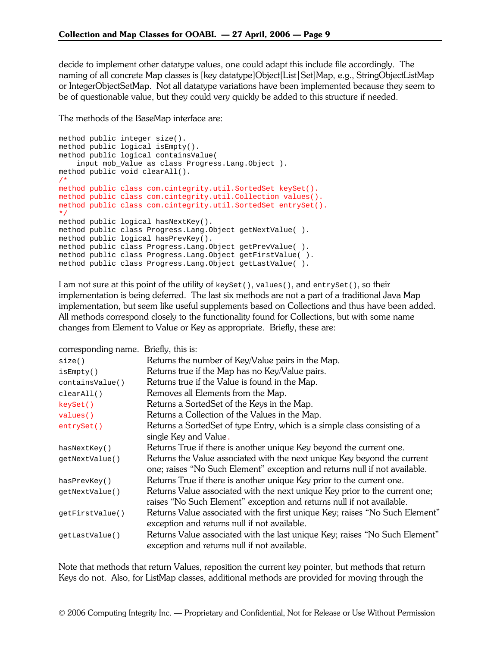decide to implement other datatype values, one could adapt this include file accordingly. The naming of all concrete Map classes is [key datatype]Object[List|Set]Map, e.g., StringObjectListMap or IntegerObjectSetMap. Not all datatype variations have been implemented because they seem to be of questionable value, but they could very quickly be added to this structure if needed.

The methods of the BaseMap interface are:

```
method public integer size(). 
method public logical isEmpty(). 
method public logical containsValue( 
     input mob_Value as class Progress.Lang.Object ). 
method public void clearAll(). 
/* 
method public class com.cintegrity.util.SortedSet keySet(). 
method public class com.cintegrity.util.Collection values(). 
method public class com.cintegrity.util.SortedSet entrySet(). 
*/ 
method public logical hasNextKey(). 
method public class Progress.Lang.Object getNextValue( ). 
method public logical hasPrevKey(). 
method public class Progress.Lang.Object getPrevValue( ). 
method public class Progress.Lang.Object getFirstValue( ). 
method public class Progress.Lang.Object getLastValue( ).
```
I am not sure at this point of the utility of keyset(), values(), and entrySet(), so their implementation is being deferred. The last six methods are not a part of a traditional Java Map implementation, but seem like useful supplements based on Collections and thus have been added. All methods correspond closely to the functionality found for Collections, but with some name changes from Element to Value or Key as appropriate. Briefly, these are:

| corresponding name. Briefly, this is: |                                                                              |  |  |
|---------------------------------------|------------------------------------------------------------------------------|--|--|
| size()                                | Returns the number of Key/Value pairs in the Map.                            |  |  |
| isEmpty()                             | Returns true if the Map has no Key/Value pairs.                              |  |  |
| containsValue()                       | Returns true if the Value is found in the Map.                               |  |  |
| clearAll()                            | Removes all Elements from the Map.                                           |  |  |
| keySet()                              | Returns a SortedSet of the Keys in the Map.                                  |  |  |
| values()                              | Returns a Collection of the Values in the Map.                               |  |  |
| entrySet()                            | Returns a Sorted Set of type Entry, which is a simple class consisting of a  |  |  |
|                                       | single Key and Value.                                                        |  |  |
| hasNextKey()                          | Returns True if there is another unique Key beyond the current one.          |  |  |
| qetNextValue()                        | Returns the Value associated with the next unique Key beyond the current     |  |  |
|                                       | one; raises "No Such Element" exception and returns null if not available.   |  |  |
| hasPrevKey()                          | Returns True if there is another unique Key prior to the current one.        |  |  |
| qetNextValue()                        | Returns Value associated with the next unique Key prior to the current one;  |  |  |
|                                       | raises "No Such Element" exception and returns null if not available.        |  |  |
| getFirstValue()                       | Returns Value associated with the first unique Key; raises "No Such Element" |  |  |
|                                       | exception and returns null if not available.                                 |  |  |
| qetLastValue()                        | Returns Value associated with the last unique Key; raises "No Such Element"  |  |  |
|                                       | exception and returns null if not available.                                 |  |  |

Note that methods that return Values, reposition the current key pointer, but methods that return Keys do not. Also, for ListMap classes, additional methods are provided for moving through the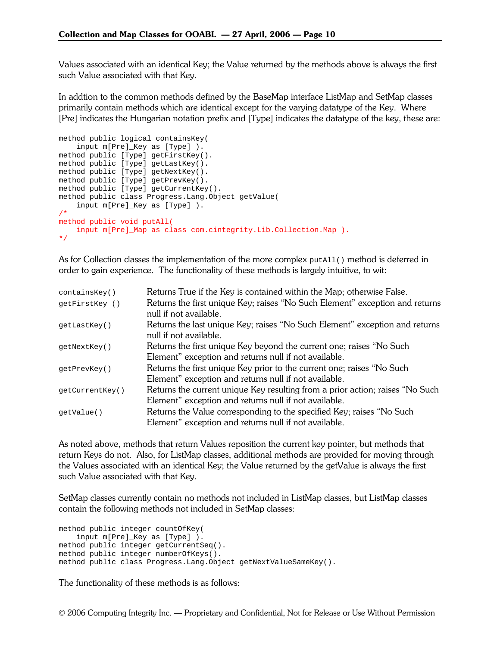Values associated with an identical Key; the Value returned by the methods above is always the first such Value associated with that Key.

In addtion to the common methods defined by the BaseMap interface ListMap and SetMap classes primarily contain methods which are identical except for the varying datatype of the Key. Where [Pre] indicates the Hungarian notation prefix and [Type] indicates the datatype of the key, these are:

```
method public logical containsKey( 
     input m[Pre]_Key as [Type] ). 
method public [Type] getFirstKey(). 
method public [Type] getLastKey(). 
method public [Type] getNextKey(). 
method public [Type] getPrevKey(). 
method public [Type] getCurrentKey(). 
method public class Progress.Lang.Object getValue( 
     input m[Pre]_Key as [Type] ). 
/* 
method public void putAll( 
    input m[Pre]_Map as class com.cintegrity.Lib.Collection.Map ). 
*/
```
As for Collection classes the implementation of the more complex putAll() method is deferred in order to gain experience. The functionality of these methods is largely intuitive, to wit:

| Returns True if the Key is contained within the Map; otherwise False.         |
|-------------------------------------------------------------------------------|
| Returns the first unique Key; raises "No Such Element" exception and returns  |
| null if not available.                                                        |
| Returns the last unique Key; raises "No Such Element" exception and returns   |
| null if not available.                                                        |
| Returns the first unique Key beyond the current one; raises "No Such          |
| Element" exception and returns null if not available.                         |
| Returns the first unique Key prior to the current one; raises "No Such        |
| Element" exception and returns null if not available.                         |
| Returns the current unique Key resulting from a prior action; raises "No Such |
| Element" exception and returns null if not available.                         |
| Returns the Value corresponding to the specified Key; raises "No Such         |
| Element" exception and returns null if not available.                         |
|                                                                               |

As noted above, methods that return Values reposition the current key pointer, but methods that return Keys do not. Also, for ListMap classes, additional methods are provided for moving through the Values associated with an identical Key; the Value returned by the getValue is always the first such Value associated with that Key.

SetMap classes currently contain no methods not included in ListMap classes, but ListMap classes contain the following methods not included in SetMap classes:

```
method public integer countOfKey( 
     input m[Pre]_Key as [Type] ). 
method public integer getCurrentSeq(). 
method public integer numberOfKeys(). 
method public class Progress.Lang.Object getNextValueSameKey().
```
The functionality of these methods is as follows: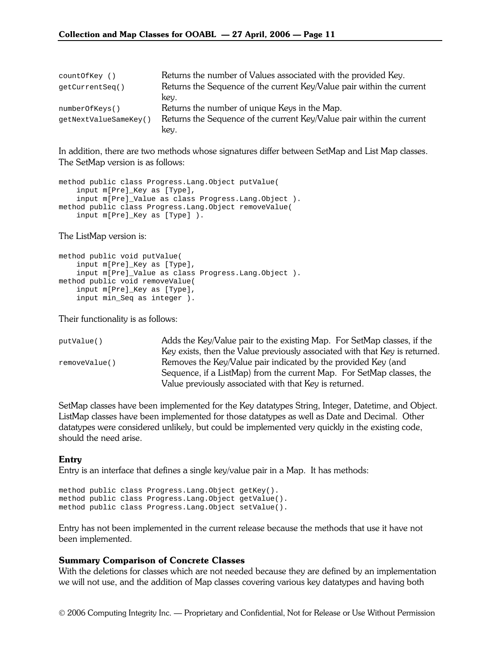| countOfKey ()         | Returns the number of Values associated with the provided Key.        |
|-----------------------|-----------------------------------------------------------------------|
| qetCurrentSeq()       | Returns the Sequence of the current Key/Value pair within the current |
|                       | key.                                                                  |
| numberOfKeys()        | Returns the number of unique Keys in the Map.                         |
| qetNextValueSameKey() | Returns the Sequence of the current Key/Value pair within the current |
|                       | key.                                                                  |

In addition, there are two methods whose signatures differ between SetMap and List Map classes. The SetMap version is as follows:

```
method public class Progress.Lang.Object putValue( 
     input m[Pre]_Key as [Type], 
     input m[Pre]_Value as class Progress.Lang.Object ). 
method public class Progress.Lang.Object removeValue( 
     input m[Pre]_Key as [Type] ).
```
The ListMap version is:

```
method public void putValue( 
     input m[Pre]_Key as [Type], 
     input m[Pre]_Value as class Progress.Lang.Object ). 
method public void removeValue( 
     input m[Pre]_Key as [Type], 
     input min_Seq as integer ).
```
Their functionality is as follows:

```
putValue() Adds the Key/Value pair to the existing Map. For SetMap classes, if the 
                         Key exists, then the Value previously associated with that Key is returned. 
removeValue() Removes the Key/Value pair indicated by the provided Key (and
                         Sequence, if a ListMap) from the current Map. For SetMap classes, the 
                         Value previously associated with that Key is returned.
```
SetMap classes have been implemented for the Key datatypes String, Integer, Datetime, and Object. ListMap classes have been implemented for those datatypes as well as Date and Decimal. Other datatypes were considered unlikely, but could be implemented very quickly in the existing code, should the need arise.

#### **Entry**

Entry is an interface that defines a single key/value pair in a Map. It has methods:

```
method public class Progress.Lang.Object getKey(). 
method public class Progress.Lang.Object getValue(). 
method public class Progress.Lang.Object setValue().
```
Entry has not been implemented in the current release because the methods that use it have not been implemented.

#### Summary Comparison of Concrete Classes

With the deletions for classes which are not needed because they are defined by an implementation we will not use, and the addition of Map classes covering various key datatypes and having both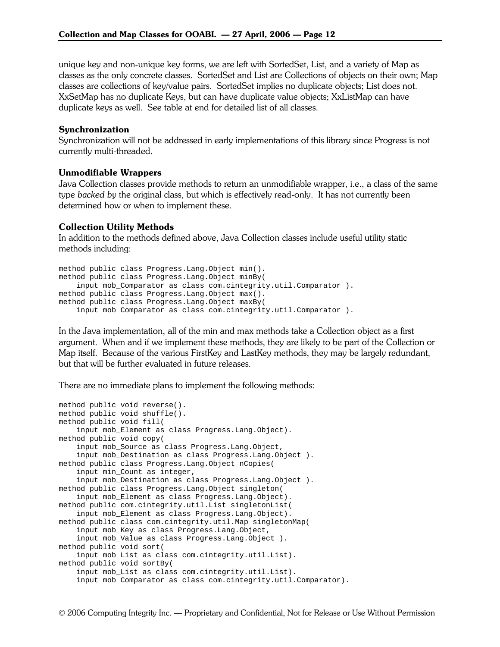unique key and non-unique key forms, we are left with SortedSet, List, and a variety of Map as classes as the only concrete classes. SortedSet and List are Collections of objects on their own; Map classes are collections of key/value pairs. SortedSet implies no duplicate objects; List does not. XxSetMap has no duplicate Keys, but can have duplicate value objects; XxListMap can have duplicate keys as well. See table at end for detailed list of all classes.

#### Synchronization

Synchronization will not be addressed in early implementations of this library since Progress is not currently multi-threaded.

#### Unmodifiable Wrappers

Java Collection classes provide methods to return an unmodifiable wrapper, i.e., a class of the same type *backed by* the original class, but which is effectively read-only. It has not currently been determined how or when to implement these.

#### Collection Utility Methods

In addition to the methods defined above, Java Collection classes include useful utility static methods including:

```
method public class Progress.Lang.Object min(). 
method public class Progress.Lang.Object minBy( 
     input mob_Comparator as class com.cintegrity.util.Comparator ). 
method public class Progress.Lang.Object max(). 
method public class Progress.Lang.Object maxBy( 
     input mob_Comparator as class com.cintegrity.util.Comparator ).
```
In the Java implementation, all of the min and max methods take a Collection object as a first argument. When and if we implement these methods, they are likely to be part of the Collection or Map itself. Because of the various FirstKey and LastKey methods, they may be largely redundant, but that will be further evaluated in future releases.

There are no immediate plans to implement the following methods:

```
method public void reverse(). 
method public void shuffle(). 
method public void fill( 
     input mob_Element as class Progress.Lang.Object). 
method public void copy( 
    input mob_Source as class Progress.Lang.Object, 
     input mob_Destination as class Progress.Lang.Object ). 
method public class Progress.Lang.Object nCopies( 
     input min_Count as integer, 
     input mob_Destination as class Progress.Lang.Object ). 
method public class Progress.Lang.Object singleton( 
     input mob_Element as class Progress.Lang.Object). 
method public com.cintegrity.util.List singletonList( 
     input mob_Element as class Progress.Lang.Object). 
method public class com.cintegrity.util.Map singletonMap( 
     input mob_Key as class Progress.Lang.Object, 
     input mob_Value as class Progress.Lang.Object ). 
method public void sort( 
     input mob_List as class com.cintegrity.util.List). 
method public void sortBy( 
     input mob_List as class com.cintegrity.util.List). 
     input mob_Comparator as class com.cintegrity.util.Comparator).
```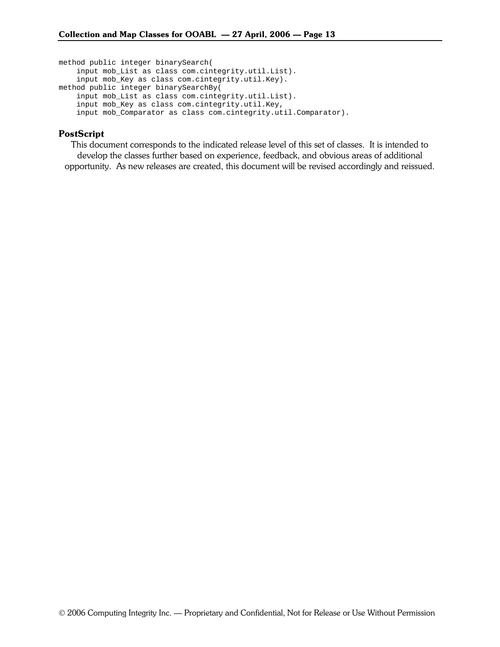method public integer binarySearch( input mob\_List as class com.cintegrity.util.List). input mob\_Key as class com.cintegrity.util.Key). method public integer binarySearchBy( input mob\_List as class com.cintegrity.util.List). input mob\_Key as class com.cintegrity.util.Key, input mob\_Comparator as class com.cintegrity.util.Comparator).

#### PostScript

This document corresponds to the indicated release level of this set of classes. It is intended to develop the classes further based on experience, feedback, and obvious areas of additional opportunity. As new releases are created, this document will be revised accordingly and reissued.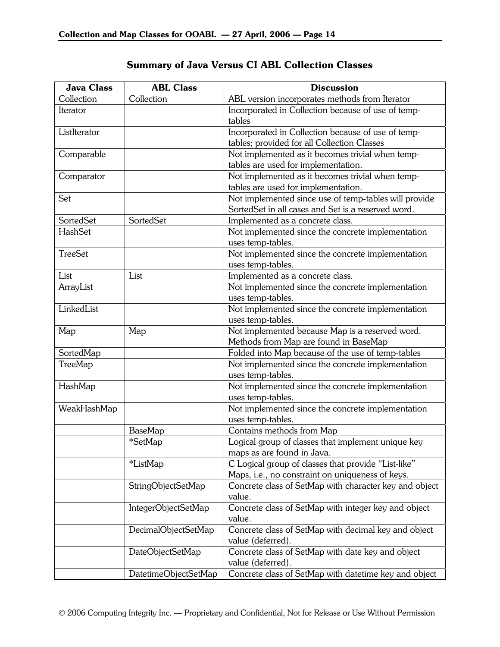| <b>Java Class</b> | <b>ABL Class</b>     | <b>Discussion</b>                                      |
|-------------------|----------------------|--------------------------------------------------------|
| Collection        | Collection           | ABL version incorporates methods from Iterator         |
| Iterator          |                      | Incorporated in Collection because of use of temp-     |
|                   |                      | tables                                                 |
| ListIterator      |                      | Incorporated in Collection because of use of temp-     |
|                   |                      | tables; provided for all Collection Classes            |
| Comparable        |                      | Not implemented as it becomes trivial when temp-       |
|                   |                      | tables are used for implementation.                    |
| Comparator        |                      | Not implemented as it becomes trivial when temp-       |
|                   |                      | tables are used for implementation.                    |
| Set               |                      | Not implemented since use of temp-tables will provide  |
|                   |                      | SortedSet in all cases and Set is a reserved word.     |
| SortedSet         | SortedSet            | Implemented as a concrete class.                       |
| HashSet           |                      | Not implemented since the concrete implementation      |
|                   |                      | uses temp-tables.                                      |
| <b>TreeSet</b>    |                      | Not implemented since the concrete implementation      |
|                   |                      | uses temp-tables.                                      |
| List              | List                 | Implemented as a concrete class.                       |
| ArrayList         |                      | Not implemented since the concrete implementation      |
|                   |                      | uses temp-tables.                                      |
| LinkedList        |                      | Not implemented since the concrete implementation      |
|                   |                      | uses temp-tables.                                      |
| Map               | Map                  | Not implemented because Map is a reserved word.        |
|                   |                      | Methods from Map are found in BaseMap                  |
| SortedMap         |                      | Folded into Map because of the use of temp-tables      |
| TreeMap           |                      | Not implemented since the concrete implementation      |
|                   |                      | uses temp-tables.                                      |
| HashMap           |                      | Not implemented since the concrete implementation      |
|                   |                      | uses temp-tables.                                      |
| WeakHashMap       |                      | Not implemented since the concrete implementation      |
|                   |                      | uses temp-tables.                                      |
|                   | BaseMap              | Contains methods from Map                              |
|                   | *SetMap              | Logical group of classes that implement unique key     |
|                   |                      | maps as are found in Java.                             |
|                   | *ListMap             | C Logical group of classes that provide "List-like"    |
|                   |                      | Maps, i.e., no constraint on uniqueness of keys.       |
|                   | StringObjectSetMap   | Concrete class of SetMap with character key and object |
|                   |                      | value.                                                 |
|                   | IntegerObjectSetMap  | Concrete class of SetMap with integer key and object   |
|                   |                      | value.                                                 |
|                   | DecimalObjectSetMap  | Concrete class of SetMap with decimal key and object   |
|                   |                      | value (deferred).                                      |
|                   | DateObjectSetMap     | Concrete class of SetMap with date key and object      |
|                   |                      | value (deferred).                                      |
|                   | DatetimeObjectSetMap | Concrete class of SetMap with datetime key and object  |

## Summary of Java Versus CI ABL Collection Classes